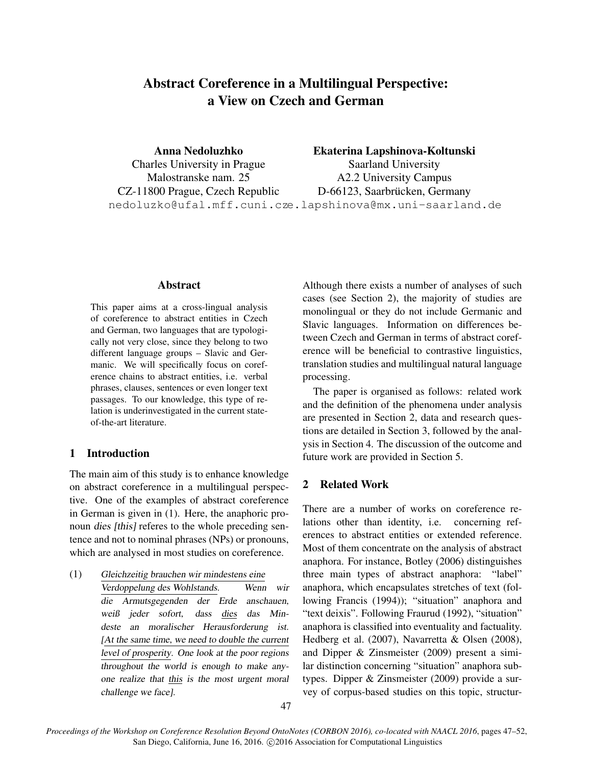# Abstract Coreference in a Multilingual Perspective: a View on Czech and German

Anna Nedoluzhko Charles University in Prague Malostranske nam. 25 CZ-11800 Prague, Czech Republic nedoluzko@ufal.mff.cuni.cz e.lapshinova@mx.uni-saarland.de Ekaterina Lapshinova-Koltunski Saarland University A2.2 University Campus D-66123, Saarbrücken, Germany

#### Abstract

This paper aims at a cross-lingual analysis of coreference to abstract entities in Czech and German, two languages that are typologically not very close, since they belong to two different language groups – Slavic and Germanic. We will specifically focus on coreference chains to abstract entities, i.e. verbal phrases, clauses, sentences or even longer text passages. To our knowledge, this type of relation is underinvestigated in the current stateof-the-art literature.

### 1 Introduction

The main aim of this study is to enhance knowledge on abstract coreference in a multilingual perspective. One of the examples of abstract coreference in German is given in (1). Here, the anaphoric pronoun dies [this] referes to the whole preceding sentence and not to nominal phrases (NPs) or pronouns, which are analysed in most studies on coreference.

(1) Gleichzeitig brauchen wir mindestens eine Verdoppelung des Wohlstands. Wenn wir die Armutsgegenden der Erde anschauen, weiß jeder sofort, dass dies das Mindeste an moralischer Herausforderung ist. [At the same time, we need to double the current level of prosperity. One look at the poor regions throughout the world is enough to make anyone realize that this is the most urgent moral challenge we face].

Although there exists a number of analyses of such cases (see Section 2), the majority of studies are monolingual or they do not include Germanic and Slavic languages. Information on differences between Czech and German in terms of abstract coreference will be beneficial to contrastive linguistics, translation studies and multilingual natural language processing.

The paper is organised as follows: related work and the definition of the phenomena under analysis are presented in Section 2, data and research questions are detailed in Section 3, followed by the analysis in Section 4. The discussion of the outcome and future work are provided in Section 5.

## 2 Related Work

There are a number of works on coreference relations other than identity, i.e. concerning references to abstract entities or extended reference. Most of them concentrate on the analysis of abstract anaphora. For instance, Botley (2006) distinguishes three main types of abstract anaphora: "label" anaphora, which encapsulates stretches of text (following Francis (1994)); "situation" anaphora and "text deixis". Following Fraurud (1992), "situation" anaphora is classified into eventuality and factuality. Hedberg et al. (2007), Navarretta & Olsen (2008), and Dipper & Zinsmeister (2009) present a similar distinction concerning "situation" anaphora subtypes. Dipper & Zinsmeister (2009) provide a survey of corpus-based studies on this topic, structur-

*Proceedings of the Workshop on Coreference Resolution Beyond OntoNotes (CORBON 2016), co-located with NAACL 2016*, pages 47–52, San Diego, California, June 16, 2016. ©2016 Association for Computational Linguistics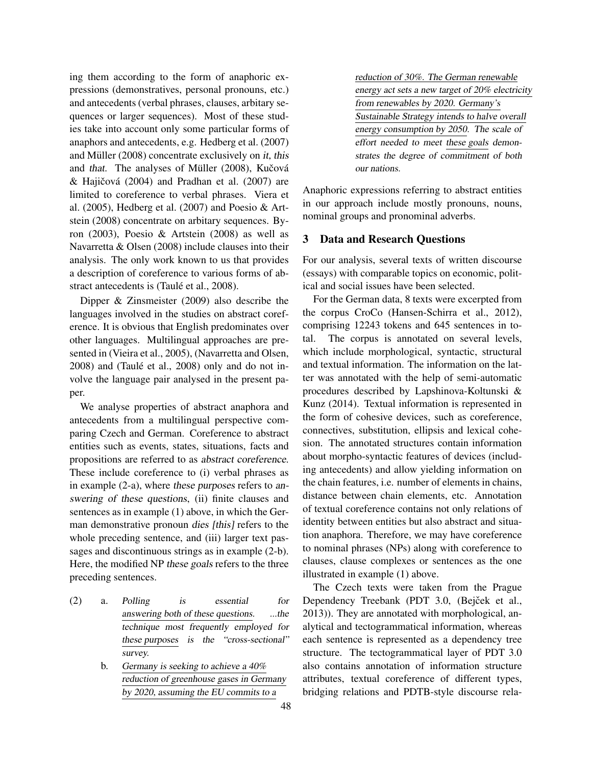ing them according to the form of anaphoric expressions (demonstratives, personal pronouns, etc.) and antecedents (verbal phrases, clauses, arbitary sequences or larger sequences). Most of these studies take into account only some particular forms of anaphors and antecedents, e.g. Hedberg et al. (2007) and Müller  $(2008)$  concentrate exclusively on *it*, this and that. The analyses of Müller (2008), Kučová & Hajičová  $(2004)$  and Pradhan et al.  $(2007)$  are limited to coreference to verbal phrases. Viera et al. (2005), Hedberg et al. (2007) and Poesio & Artstein (2008) concentrate on arbitary sequences. Byron (2003), Poesio & Artstein (2008) as well as Navarretta & Olsen (2008) include clauses into their analysis. The only work known to us that provides a description of coreference to various forms of abstract antecedents is (Taulé et al., 2008).

Dipper & Zinsmeister (2009) also describe the languages involved in the studies on abstract coreference. It is obvious that English predominates over other languages. Multilingual approaches are presented in (Vieira et al., 2005), (Navarretta and Olsen,  $2008$ ) and (Taulé et al.,  $2008$ ) only and do not involve the language pair analysed in the present paper.

We analyse properties of abstract anaphora and antecedents from a multilingual perspective comparing Czech and German. Coreference to abstract entities such as events, states, situations, facts and propositions are referred to as abstract coreference. These include coreference to (i) verbal phrases as in example (2-a), where these purposes refers to answering of these questions, (ii) finite clauses and sentences as in example (1) above, in which the German demonstrative pronoun dies [this] refers to the whole preceding sentence, and (iii) larger text passages and discontinuous strings as in example (2-b). Here, the modified NP these goals refers to the three preceding sentences.

- (2) a. Polling is essential for answering both of these questions. ...the technique most frequently employed for these purposes is the "cross-sectional" survey.
	- b. Germany is seeking to achieve a 40% reduction of greenhouse gases in Germany by 2020, assuming the EU commits to a

reduction of 30%. The German renewable energy act sets a new target of 20% electricity from renewables by 2020. Germany's Sustainable Strategy intends to halve overall energy consumption by 2050. The scale of effort needed to meet these goals demonstrates the degree of commitment of both our nations.

Anaphoric expressions referring to abstract entities in our approach include mostly pronouns, nouns, nominal groups and pronominal adverbs.

# 3 Data and Research Questions

For our analysis, several texts of written discourse (essays) with comparable topics on economic, political and social issues have been selected.

For the German data, 8 texts were excerpted from the corpus CroCo (Hansen-Schirra et al., 2012), comprising 12243 tokens and 645 sentences in total. The corpus is annotated on several levels, which include morphological, syntactic, structural and textual information. The information on the latter was annotated with the help of semi-automatic procedures described by Lapshinova-Koltunski & Kunz (2014). Textual information is represented in the form of cohesive devices, such as coreference, connectives, substitution, ellipsis and lexical cohesion. The annotated structures contain information about morpho-syntactic features of devices (including antecedents) and allow yielding information on the chain features, i.e. number of elements in chains, distance between chain elements, etc. Annotation of textual coreference contains not only relations of identity between entities but also abstract and situation anaphora. Therefore, we may have coreference to nominal phrases (NPs) along with coreference to clauses, clause complexes or sentences as the one illustrated in example (1) above.

The Czech texts were taken from the Prague Dependency Treebank (PDT 3.0, (Bejček et al., 2013)). They are annotated with morphological, analytical and tectogrammatical information, whereas each sentence is represented as a dependency tree structure. The tectogrammatical layer of PDT 3.0 also contains annotation of information structure attributes, textual coreference of different types, bridging relations and PDTB-style discourse rela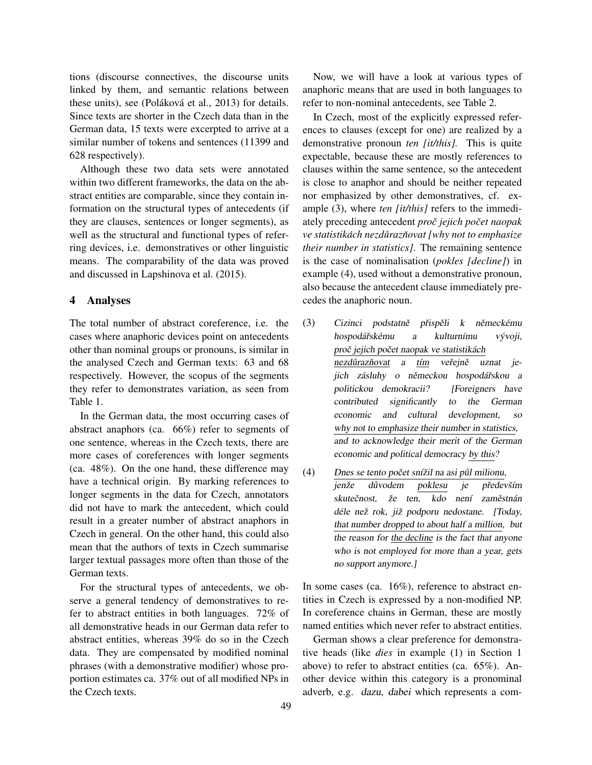tions (discourse connectives, the discourse units linked by them, and semantic relations between these units), see (Poláková et al., 2013) for details. Since texts are shorter in the Czech data than in the German data, 15 texts were excerpted to arrive at a similar number of tokens and sentences (11399 and 628 respectively).

Although these two data sets were annotated within two different frameworks, the data on the abstract entities are comparable, since they contain information on the structural types of antecedents (if they are clauses, sentences or longer segments), as well as the structural and functional types of referring devices, i.e. demonstratives or other linguistic means. The comparability of the data was proved and discussed in Lapshinova et al. (2015).

### 4 Analyses

The total number of abstract coreference, i.e. the cases where anaphoric devices point on antecedents other than nominal groups or pronouns, is similar in the analysed Czech and German texts: 63 and 68 respectively. However, the scopus of the segments they refer to demonstrates variation, as seen from Table 1.

In the German data, the most occurring cases of abstract anaphors (ca. 66%) refer to segments of one sentence, whereas in the Czech texts, there are more cases of coreferences with longer segments (ca. 48%). On the one hand, these difference may have a technical origin. By marking references to longer segments in the data for Czech, annotators did not have to mark the antecedent, which could result in a greater number of abstract anaphors in Czech in general. On the other hand, this could also mean that the authors of texts in Czech summarise larger textual passages more often than those of the German texts.

For the structural types of antecedents, we observe a general tendency of demonstratives to refer to abstract entities in both languages. 72% of all demonstrative heads in our German data refer to abstract entities, whereas 39% do so in the Czech data. They are compensated by modified nominal phrases (with a demonstrative modifier) whose proportion estimates ca. 37% out of all modified NPs in the Czech texts.

Now, we will have a look at various types of anaphoric means that are used in both languages to refer to non-nominal antecedents, see Table 2.

In Czech, most of the explicitly expressed references to clauses (except for one) are realized by a demonstrative pronoun *ten [it/this].* This is quite expectable, because these are mostly references to clauses within the same sentence, so the antecedent is close to anaphor and should be neither repeated nor emphasized by other demonstratives, cf. example (3), where *ten [it/this]* refers to the immediately preceding antecedent *proc jejich po ˇ cet naopak ˇ ve statistikách nezdůrazňovat [why not to emphasize their number in statistics]*. The remaining sentence is the case of nominalisation (*pokles [decline]*) in example (4), used without a demonstrative pronoun, also because the antecedent clause immediately precedes the anaphoric noun.

- (3) Cizinci podstatně přispěli k německému hospodářskému a kulturnímu vývoji, proč jejich počet naopak ve statistikách nezdůrazňovat a tím veřejně uznat jejich zásluhy o německou hospodářskou a politickou demokracii? [Foreigners have contributed significantly to the German economic and cultural development, so why not to emphasize their number in statistics, and to acknowledge their merit of the German economic and political democracy by this?
- $(4)$  Dnes se tento počet snížil na asi půl milionu, jenže důvodem poklesu je především skutečnost, že ten, kdo není zaměstnán déle než rok, již podporu nedostane. [Today, that number dropped to about half a million, but the reason for the decline is the fact that anyone who is not employed for more than a year, gets no support anymore.]

In some cases (ca. 16%), reference to abstract entities in Czech is expressed by a non-modified NP. In coreference chains in German, these are mostly named entities which never refer to abstract entities.

German shows a clear preference for demonstrative heads (like *dies* in example (1) in Section 1 above) to refer to abstract entities (ca. 65%). Another device within this category is a pronominal adverb, e.g. dazu, dabei which represents a com-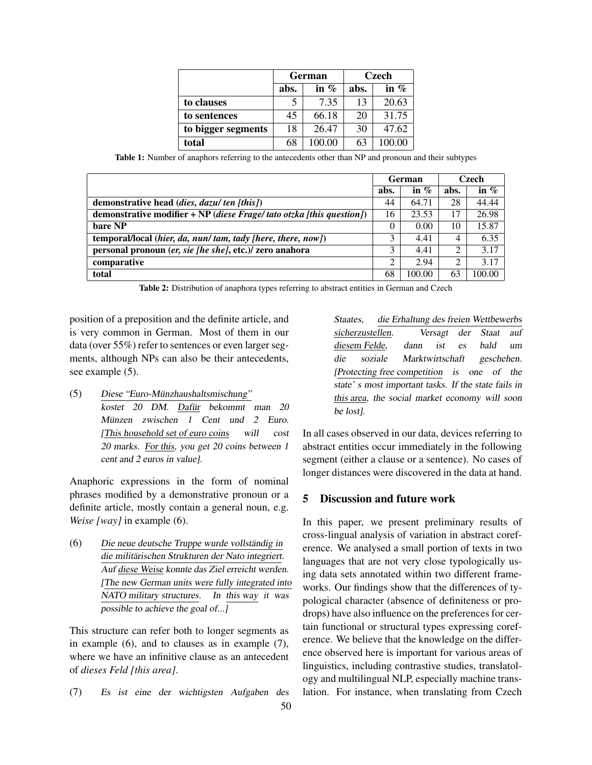|                    | German |         | Czech |         |
|--------------------|--------|---------|-------|---------|
|                    | abs.   | in $\%$ | abs.  | in $\%$ |
| to clauses         |        | 7.35    | 13    | 20.63   |
| to sentences       | 45     | 66.18   | 20    | 31.75   |
| to bigger segments | 18     | 26.47   | 30    | 47.62   |
| total              | 68     | 100.00  | 63    | 100.00  |

Table 1: Number of anaphors referring to the antecedents other than NP and pronoun and their subtypes

|                                                                      | German         |         | Czech          |         |
|----------------------------------------------------------------------|----------------|---------|----------------|---------|
|                                                                      | abs.           | in $\%$ | abs.           | in $\%$ |
| demonstrative head ( <i>dies</i> , <i>dazu/ ten</i> [this])          | 44             | 64.71   | 28             | 44.44   |
| demonstrative modifier + NP (diese Frage/tato otzka [this question]) | 16             | 23.53   | 17             | 26.98   |
| bare NP                                                              | $\Omega$       | 0.00    | 10             | 15.87   |
| temporal/local (hier, da, nun/tam, tady [here, there, now])          | 3              | 4.41    | 4              | 6.35    |
| personal pronoun (er, sie [he she], etc.)/ zero anahora              | 3              | 4.41    | 2              | 3.17    |
| comparative                                                          | $\overline{c}$ | 2.94    | $\overline{2}$ | 3.17    |
| total                                                                | 68             | 100.00  | 63             | 100.00  |

Table 2: Distribution of anaphora types referring to abstract entities in German and Czech

position of a preposition and the definite article, and is very common in German. Most of them in our data (over 55%) refer to sentences or even larger segments, although NPs can also be their antecedents, see example (5).

(5) Diese "Euro-Munzhaushaltsmischung" ¨ kostet 20 DM. Dafür bekommt man 20 Münzen zwischen 1 Cent und 2 Euro. [This household set of euro coins will cost 20 marks. For this, you get 20 coins between 1 cent and 2 euros in value].

Anaphoric expressions in the form of nominal phrases modified by a demonstrative pronoun or a definite article, mostly contain a general noun, e.g. *Weise [way]* in example (6).

 $(6)$  Die neue deutsche Truppe wurde vollständig in die militärischen Strukturen der Nato integriert. Auf diese Weise konnte das Ziel erreicht werden. [The new German units were fully integrated into NATO military structures. In this way it was possible to achieve the goal of...]

This structure can refer both to longer segments as in example (6), and to clauses as in example (7), where we have an infinitive clause as an antecedent of *dieses Feld [this area]*.

(7) Es ist eine der wichtigsten Aufgaben des 50 Staates, die Erhaltung des freien Wettbewerbs sicherzustellen. Versagt der Staat auf diesem Felde, dann ist es bald um die soziale Marktwirtschaft geschehen. [Protecting free competition is one of the state' s most important tasks. If the state fails in this area, the social market economy will soon be lost].

In all cases observed in our data, devices referring to abstract entities occur immediately in the following segment (either a clause or a sentence). No cases of longer distances were discovered in the data at hand.

# 5 Discussion and future work

In this paper, we present preliminary results of cross-lingual analysis of variation in abstract coreference. We analysed a small portion of texts in two languages that are not very close typologically using data sets annotated within two different frameworks. Our findings show that the differences of typological character (absence of definiteness or prodrops) have also influence on the preferences for certain functional or structural types expressing coreference. We believe that the knowledge on the difference observed here is important for various areas of linguistics, including contrastive studies, translatology and multilingual NLP, especially machine translation. For instance, when translating from Czech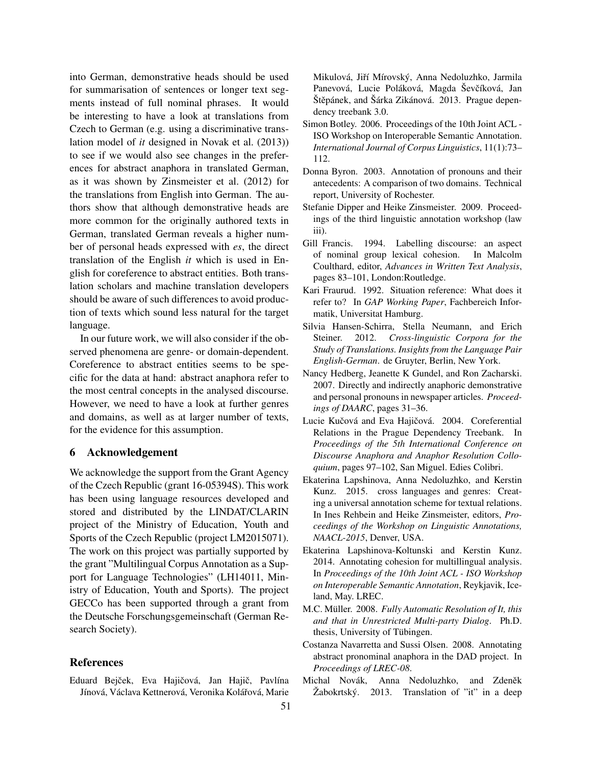into German, demonstrative heads should be used for summarisation of sentences or longer text segments instead of full nominal phrases. It would be interesting to have a look at translations from Czech to German (e.g. using a discriminative translation model of *it* designed in Novak et al. (2013)) to see if we would also see changes in the preferences for abstract anaphora in translated German, as it was shown by Zinsmeister et al. (2012) for the translations from English into German. The authors show that although demonstrative heads are more common for the originally authored texts in German, translated German reveals a higher number of personal heads expressed with *es*, the direct translation of the English *it* which is used in English for coreference to abstract entities. Both translation scholars and machine translation developers should be aware of such differences to avoid production of texts which sound less natural for the target language.

In our future work, we will also consider if the observed phenomena are genre- or domain-dependent. Coreference to abstract entities seems to be specific for the data at hand: abstract anaphora refer to the most central concepts in the analysed discourse. However, we need to have a look at further genres and domains, as well as at larger number of texts, for the evidence for this assumption.

### 6 Acknowledgement

We acknowledge the support from the Grant Agency of the Czech Republic (grant 16-05394S). This work has been using language resources developed and stored and distributed by the LINDAT/CLARIN project of the Ministry of Education, Youth and Sports of the Czech Republic (project LM2015071). The work on this project was partially supported by the grant "Multilingual Corpus Annotation as a Support for Language Technologies" (LH14011, Ministry of Education, Youth and Sports). The project GECCo has been supported through a grant from the Deutsche Forschungsgemeinschaft (German Research Society).

### References

Eduard Bejček, Eva Hajičová, Jan Hajič, Pavlína Jínová, Václava Kettnerová, Veronika Kolářová, Marie Mikulová, Jiří Mírovský, Anna Nedoluzhko, Jarmila Panevová, Lucie Poláková, Magda Ševčíková, Jan Štěpánek, and Šárka Zikánová. 2013. Prague dependency treebank 3.0.

- Simon Botley. 2006. Proceedings of the 10th Joint ACL ISO Workshop on Interoperable Semantic Annotation. *International Journal of Corpus Linguistics*, 11(1):73– 112.
- Donna Byron. 2003. Annotation of pronouns and their antecedents: A comparison of two domains. Technical report, University of Rochester.
- Stefanie Dipper and Heike Zinsmeister. 2009. Proceedings of the third linguistic annotation workshop (law iii).
- Gill Francis. 1994. Labelling discourse: an aspect of nominal group lexical cohesion. In Malcolm Coulthard, editor, *Advances in Written Text Analysis*, pages 83–101, London:Routledge.
- Kari Fraurud. 1992. Situation reference: What does it refer to? In *GAP Working Paper*, Fachbereich Informatik, Universitat Hamburg.
- Silvia Hansen-Schirra, Stella Neumann, and Erich Steiner. 2012. *Cross-linguistic Corpora for the Study of Translations. Insights from the Language Pair English-German*. de Gruyter, Berlin, New York.
- Nancy Hedberg, Jeanette K Gundel, and Ron Zacharski. 2007. Directly and indirectly anaphoric demonstrative and personal pronouns in newspaper articles. *Proceedings of DAARC*, pages 31–36.
- Lucie Kučová and Eva Hajičová. 2004. Coreferential Relations in the Prague Dependency Treebank. In *Proceedings of the 5th International Conference on Discourse Anaphora and Anaphor Resolution Colloquium*, pages 97–102, San Miguel. Edies Colibri.
- Ekaterina Lapshinova, Anna Nedoluzhko, and Kerstin Kunz. 2015. cross languages and genres: Creating a universal annotation scheme for textual relations. In Ines Rehbein and Heike Zinsmeister, editors, *Proceedings of the Workshop on Linguistic Annotations, NAACL-2015*, Denver, USA.
- Ekaterina Lapshinova-Koltunski and Kerstin Kunz. 2014. Annotating cohesion for multillingual analysis. In *Proceedings of the 10th Joint ACL - ISO Workshop on Interoperable Semantic Annotation*, Reykjavik, Iceland, May. LREC.
- M.C. Müller. 2008. Fully Automatic Resolution of It, this *and that in Unrestricted Multi-party Dialog*. Ph.D. thesis, University of Tübingen.
- Costanza Navarretta and Sussi Olsen. 2008. Annotating abstract pronominal anaphora in the DAD project. In *Proceedings of LREC-08*.
- Michal Novák, Anna Nedoluzhko, and Zdeněk  $\check{Z}$ abokrtský. 2013. Translation of "it" in a deep